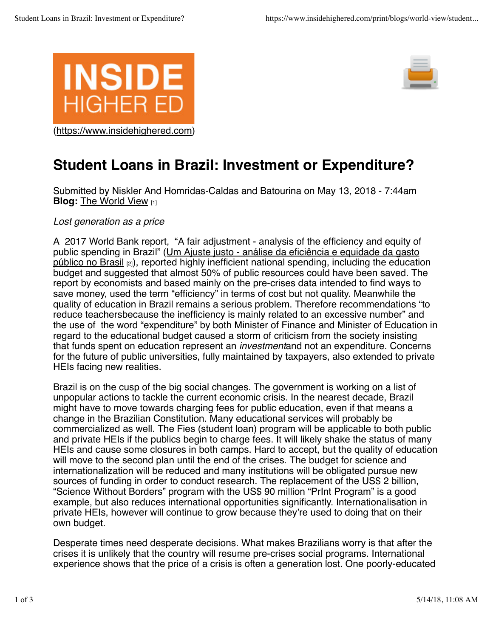



## **Student Loans in Brazil: Investment or Expenditure?**

**Blog:** The World View [1] Submitted by Niskler And Homridas-Caldas and Batourina on May 13, 2018 - 7:44am

*Lost generation as a price*

A 2017 World Bank report, "A fair adjustment - analysis of the efficiency and equity of public spending in Brazil" (Um Ajuste justo - análise da eficiência e equidade da gasto público no Brasil [2]), reported highly inefficient national spending, including the education budget and suggested that almost 50% of public resources could have been saved. The report by economists and based mainly on the pre-crises data intended to find ways to save money, used the term "efficiency" in terms of cost but not quality. Meanwhile the quality of education in Brazil remains a serious problem. Therefore recommendations "to reduce teachersbecause the inefficiency is mainly related to an excessive number" and the use of the word "expenditure" by both Minister of Finance and Minister of Education in regard to the educational budget caused a storm of criticism from the society insisting that funds spent on education represent an *investment*and not an expenditure. Concerns for the future of public universities, fully maintained by taxpayers, also extended to private HEIs facing new realities.

Brazil is on the cusp of the big social changes. The government is working on a list of unpopular actions to tackle the current economic crisis. In the nearest decade, Brazil might have to move towards charging fees for public education, even if that means a change in the Brazilian Constitution. Many educational services will probably be commercialized as well. The Fies (student loan) program will be applicable to both public and private HEIs if the publics begin to charge fees. It will likely shake the status of many HEIs and cause some closures in both camps. Hard to accept, but the quality of education will move to the second plan until the end of the crises. The budget for science and internationalization will be reduced and many institutions will be obligated pursue new sources of funding in order to conduct research. The replacement of the US\$ 2 billion, "Science Without Borders" program with the US\$ 90 million "PrInt Program" is a good example, but also reduces international opportunities significantly. Internationalisation in private HEIs, however will continue to grow because they're used to doing that on their own budget.

Desperate times need desperate decisions. What makes Brazilians worry is that after the crises it is unlikely that the country will resume pre-crises social programs. International experience shows that the price of a crisis is often a generation lost. One poorly-educated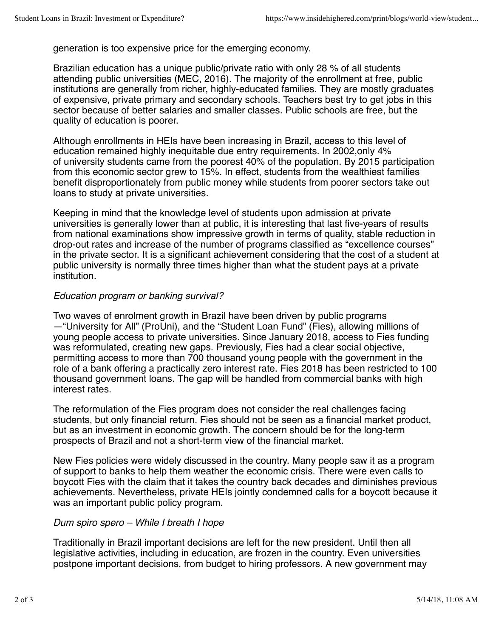generation is too expensive price for the emerging economy.

Brazilian education has a unique public/private ratio with only 28 % of all students attending public universities (MEC, 2016). The majority of the enrollment at free, public institutions are generally from richer, highly-educated families. They are mostly graduates of expensive, private primary and secondary schools. Teachers best try to get jobs in this sector because of better salaries and smaller classes. Public schools are free, but the quality of education is poorer.

Although enrollments in HEIs have been increasing in Brazil, access to this level of education remained highly inequitable due entry requirements. In 2002,only 4% of university students came from the poorest 40% of the population. By 2015 participation from this economic sector grew to 15%. In effect, students from the wealthiest families benefit disproportionately from public money while students from poorer sectors take out loans to study at private universities.

Keeping in mind that the knowledge level of students upon admission at private universities is generally lower than at public, it is interesting that last five-years of results from national examinations show impressive growth in terms of quality, stable reduction in drop-out rates and increase of the number of programs classified as "excellence courses" in the private sector. It is a significant achievement considering that the cost of a student at public university is normally three times higher than what the student pays at a private institution.

## *Education program or banking survival?*

Two waves of enrolment growth in Brazil have been driven by public programs —"University for All" (ProUni), and the "Student Loan Fund" (Fies), allowing millions of young people access to private universities. Since January 2018, access to Fies funding was reformulated, creating new gaps. Previously, Fies had a clear social objective, permitting access to more than 700 thousand young people with the government in the role of a bank offering a practically zero interest rate. Fies 2018 has been restricted to 100 thousand government loans. The gap will be handled from commercial banks with high interest rates.

The reformulation of the Fies program does not consider the real challenges facing students, but only financial return. Fies should not be seen as a financial market product, but as an investment in economic growth. The concern should be for the long-term prospects of Brazil and not a short-term view of the financial market.

New Fies policies were widely discussed in the country. Many people saw it as a program of support to banks to help them weather the economic crisis. There were even calls to boycott Fies with the claim that it takes the country back decades and diminishes previous achievements. Nevertheless, private HEIs jointly condemned calls for a boycott because it was an important public policy program.

## *Dum spiro spero – While I breath I hope*

Traditionally in Brazil important decisions are left for the new president. Until then all legislative activities, including in education, are frozen in the country. Even universities postpone important decisions, from budget to hiring professors. A new government may